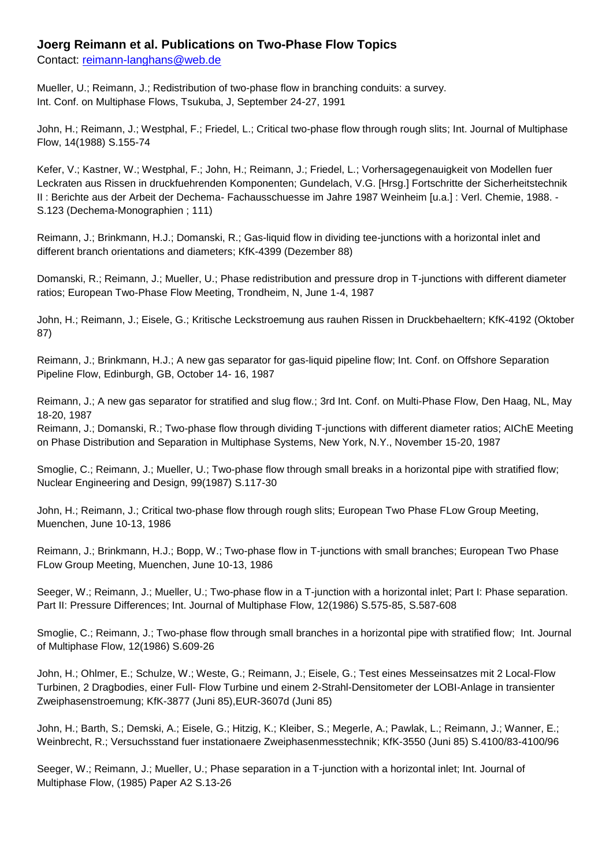## **Joerg Reimann et al. Publications on Two-Phase Flow Topics**

Contact: [reimann-langhans@web.de](mailto:reimann-langhans@web.de)

Mueller, U.; Reimann, J.; Redistribution of two-phase flow in branching conduits: a survey. Int. Conf. on Multiphase Flows, Tsukuba, J, September 24-27, 1991

John, H.; Reimann, J.; Westphal, F.; Friedel, L.; Critical two-phase flow through rough slits; Int. Journal of Multiphase Flow, 14(1988) S.155-74

Kefer, V.; Kastner, W.; Westphal, F.; John, H.; Reimann, J.; Friedel, L.; Vorhersagegenauigkeit von Modellen fuer Leckraten aus Rissen in druckfuehrenden Komponenten; Gundelach, V.G. [Hrsg.] Fortschritte der Sicherheitstechnik II : Berichte aus der Arbeit der Dechema- Fachausschuesse im Jahre 1987 Weinheim [u.a.] : Verl. Chemie, 1988. - S.123 (Dechema-Monographien ; 111)

Reimann, J.; Brinkmann, H.J.; Domanski, R.; Gas-liquid flow in dividing tee-junctions with a horizontal inlet and different branch orientations and diameters; KfK-4399 (Dezember 88)

Domanski, R.; Reimann, J.; Mueller, U.; Phase redistribution and pressure drop in T-junctions with different diameter ratios; European Two-Phase Flow Meeting, Trondheim, N, June 1-4, 1987

John, H.; Reimann, J.; Eisele, G.; Kritische Leckstroemung aus rauhen Rissen in Druckbehaeltern; KfK-4192 (Oktober 87)

Reimann, J.; Brinkmann, H.J.; A new gas separator for gas-liquid pipeline flow; Int. Conf. on Offshore Separation Pipeline Flow, Edinburgh, GB, October 14- 16, 1987

Reimann, J.; A new gas separator for stratified and slug flow.; 3rd Int. Conf. on Multi-Phase Flow, Den Haag, NL, May 18-20, 1987

Reimann, J.; Domanski, R.; Two-phase flow through dividing T-junctions with different diameter ratios; AIChE Meeting on Phase Distribution and Separation in Multiphase Systems, New York, N.Y., November 15-20, 1987

Smoglie, C.; Reimann, J.; Mueller, U.; Two-phase flow through small breaks in a horizontal pipe with stratified flow; Nuclear Engineering and Design, 99(1987) S.117-30

John, H.; Reimann, J.; Critical two-phase flow through rough slits; European Two Phase FLow Group Meeting, Muenchen, June 10-13, 1986

Reimann, J.; Brinkmann, H.J.; Bopp, W.; Two-phase flow in T-junctions with small branches; European Two Phase FLow Group Meeting, Muenchen, June 10-13, 1986

Seeger, W.; Reimann, J.; Mueller, U.; Two-phase flow in a T-junction with a horizontal inlet; Part I: Phase separation. Part II: Pressure Differences; Int. Journal of Multiphase Flow, 12(1986) S.575-85, S.587-608

Smoglie, C.; Reimann, J.; Two-phase flow through small branches in a horizontal pipe with stratified flow; Int. Journal of Multiphase Flow, 12(1986) S.609-26

John, H.; Ohlmer, E.; Schulze, W.; Weste, G.; Reimann, J.; Eisele, G.; Test eines Messeinsatzes mit 2 Local-Flow Turbinen, 2 Dragbodies, einer Full- Flow Turbine und einem 2-Strahl-Densitometer der LOBI-Anlage in transienter Zweiphasenstroemung; KfK-3877 (Juni 85),EUR-3607d (Juni 85)

John, H.; Barth, S.; Demski, A.; Eisele, G.; Hitzig, K.; Kleiber, S.; Megerle, A.; Pawlak, L.; Reimann, J.; Wanner, E.; Weinbrecht, R.; Versuchsstand fuer instationaere Zweiphasenmesstechnik; KfK-3550 (Juni 85) S.4100/83-4100/96

Seeger, W.; Reimann, J.; Mueller, U.; Phase separation in a T-junction with a horizontal inlet; Int. Journal of Multiphase Flow, (1985) Paper A2 S.13-26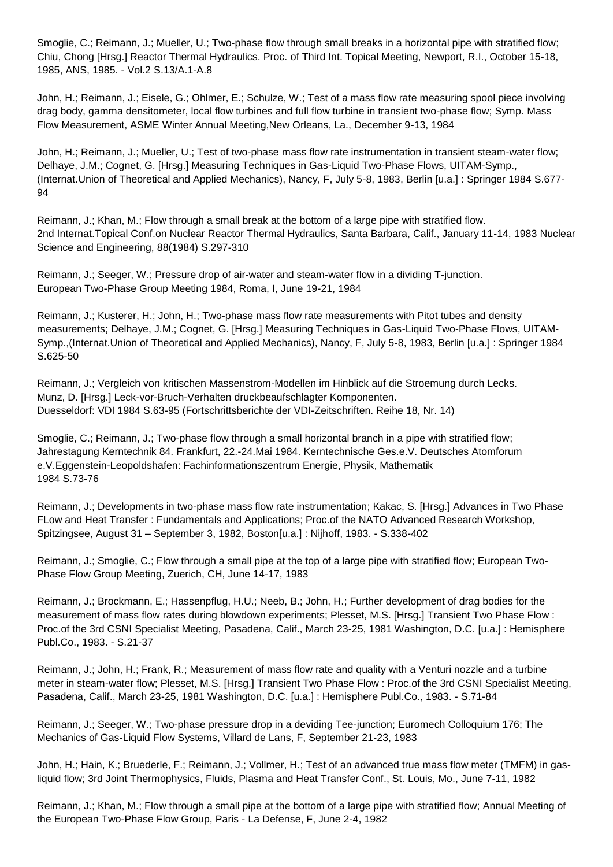Smoglie, C.; Reimann, J.; Mueller, U.; Two-phase flow through small breaks in a horizontal pipe with stratified flow; Chiu, Chong [Hrsg.] Reactor Thermal Hydraulics. Proc. of Third Int. Topical Meeting, Newport, R.I., October 15-18, 1985, ANS, 1985. - Vol.2 S.13/A.1-A.8

John, H.; Reimann, J.; Eisele, G.; Ohlmer, E.; Schulze, W.; Test of a mass flow rate measuring spool piece involving drag body, gamma densitometer, local flow turbines and full flow turbine in transient two-phase flow; Symp. Mass Flow Measurement, ASME Winter Annual Meeting,New Orleans, La., December 9-13, 1984

John, H.; Reimann, J.; Mueller, U.; Test of two-phase mass flow rate instrumentation in transient steam-water flow; Delhaye, J.M.; Cognet, G. [Hrsg.] Measuring Techniques in Gas-Liquid Two-Phase Flows, UITAM-Symp., (Internat.Union of Theoretical and Applied Mechanics), Nancy, F, July 5-8, 1983, Berlin [u.a.] : Springer 1984 S.677- 94

Reimann, J.; Khan, M.; Flow through a small break at the bottom of a large pipe with stratified flow. 2nd Internat.Topical Conf.on Nuclear Reactor Thermal Hydraulics, Santa Barbara, Calif., January 11-14, 1983 Nuclear Science and Engineering, 88(1984) S.297-310

Reimann, J.; Seeger, W.; Pressure drop of air-water and steam-water flow in a dividing T-junction. European Two-Phase Group Meeting 1984, Roma, I, June 19-21, 1984

Reimann, J.; Kusterer, H.; John, H.; Two-phase mass flow rate measurements with Pitot tubes and density measurements; Delhaye, J.M.; Cognet, G. [Hrsg.] Measuring Techniques in Gas-Liquid Two-Phase Flows, UITAM-Symp.,(Internat.Union of Theoretical and Applied Mechanics), Nancy, F, July 5-8, 1983, Berlin [u.a.] : Springer 1984 S.625-50

Reimann, J.; Vergleich von kritischen Massenstrom-Modellen im Hinblick auf die Stroemung durch Lecks. Munz, D. [Hrsg.] Leck-vor-Bruch-Verhalten druckbeaufschlagter Komponenten. Duesseldorf: VDI 1984 S.63-95 (Fortschrittsberichte der VDI-Zeitschriften. Reihe 18, Nr. 14)

Smoglie, C.; Reimann, J.; Two-phase flow through a small horizontal branch in a pipe with stratified flow; Jahrestagung Kerntechnik 84. Frankfurt, 22.-24.Mai 1984. Kerntechnische Ges.e.V. Deutsches Atomforum e.V.Eggenstein-Leopoldshafen: Fachinformationszentrum Energie, Physik, Mathematik 1984 S.73-76

Reimann, J.; Developments in two-phase mass flow rate instrumentation; Kakac, S. [Hrsg.] Advances in Two Phase FLow and Heat Transfer : Fundamentals and Applications; Proc.of the NATO Advanced Research Workshop, Spitzingsee, August 31 – September 3, 1982, Boston[u.a.] : Nijhoff, 1983. - S.338-402

Reimann, J.; Smoglie, C.; Flow through a small pipe at the top of a large pipe with stratified flow; European Two-Phase Flow Group Meeting, Zuerich, CH, June 14-17, 1983

Reimann, J.; Brockmann, E.; Hassenpflug, H.U.; Neeb, B.; John, H.; Further development of drag bodies for the measurement of mass flow rates during blowdown experiments; Plesset, M.S. [Hrsg.] Transient Two Phase Flow : Proc.of the 3rd CSNI Specialist Meeting, Pasadena, Calif., March 23-25, 1981 Washington, D.C. [u.a.] : Hemisphere Publ.Co., 1983. - S.21-37

Reimann, J.; John, H.; Frank, R.; Measurement of mass flow rate and quality with a Venturi nozzle and a turbine meter in steam-water flow; Plesset, M.S. [Hrsg.] Transient Two Phase Flow : Proc.of the 3rd CSNI Specialist Meeting, Pasadena, Calif., March 23-25, 1981 Washington, D.C. [u.a.] : Hemisphere Publ.Co., 1983. - S.71-84

Reimann, J.; Seeger, W.; Two-phase pressure drop in a deviding Tee-junction; Euromech Colloquium 176; The Mechanics of Gas-Liquid Flow Systems, Villard de Lans, F, September 21-23, 1983

John, H.; Hain, K.; Bruederle, F.; Reimann, J.; Vollmer, H.; Test of an advanced true mass flow meter (TMFM) in gasliquid flow; 3rd Joint Thermophysics, Fluids, Plasma and Heat Transfer Conf., St. Louis, Mo., June 7-11, 1982

Reimann, J.; Khan, M.; Flow through a small pipe at the bottom of a large pipe with stratified flow; Annual Meeting of the European Two-Phase Flow Group, Paris - La Defense, F, June 2-4, 1982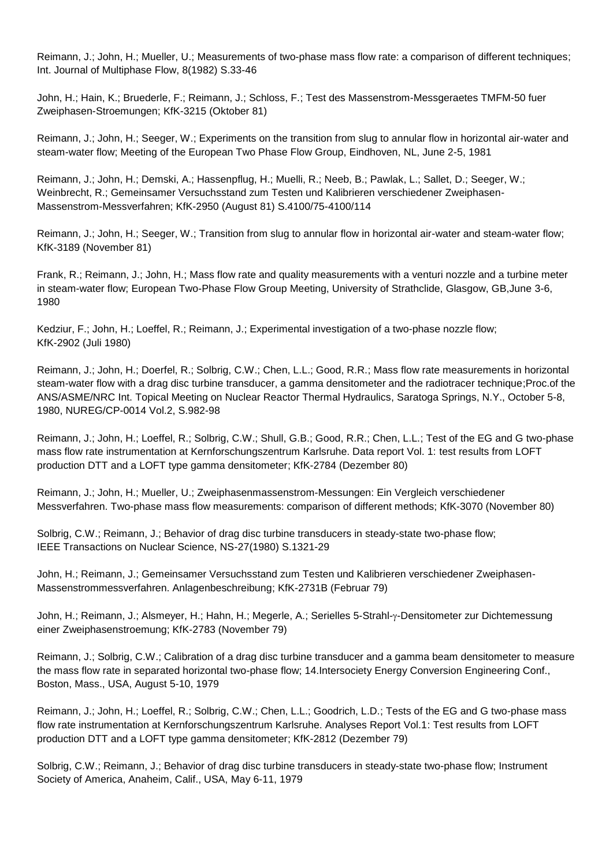Reimann, J.; John, H.; Mueller, U.; Measurements of two-phase mass flow rate: a comparison of different techniques; Int. Journal of Multiphase Flow, 8(1982) S.33-46

John, H.; Hain, K.; Bruederle, F.; Reimann, J.; Schloss, F.; Test des Massenstrom-Messgeraetes TMFM-50 fuer Zweiphasen-Stroemungen; KfK-3215 (Oktober 81)

Reimann, J.; John, H.; Seeger, W.; Experiments on the transition from slug to annular flow in horizontal air-water and steam-water flow; Meeting of the European Two Phase Flow Group, Eindhoven, NL, June 2-5, 1981

Reimann, J.; John, H.; Demski, A.; Hassenpflug, H.; Muelli, R.; Neeb, B.; Pawlak, L.; Sallet, D.; Seeger, W.; Weinbrecht, R.; Gemeinsamer Versuchsstand zum Testen und Kalibrieren verschiedener Zweiphasen-Massenstrom-Messverfahren; KfK-2950 (August 81) S.4100/75-4100/114

Reimann, J.; John, H.; Seeger, W.; Transition from slug to annular flow in horizontal air-water and steam-water flow; KfK-3189 (November 81)

Frank, R.; Reimann, J.; John, H.; Mass flow rate and quality measurements with a venturi nozzle and a turbine meter in steam-water flow; European Two-Phase Flow Group Meeting, University of Strathclide, Glasgow, GB,June 3-6, 1980

Kedziur, F.; John, H.; Loeffel, R.; Reimann, J.; Experimental investigation of a two-phase nozzle flow; KfK-2902 (Juli 1980)

Reimann, J.; John, H.; Doerfel, R.; Solbrig, C.W.; Chen, L.L.; Good, R.R.; Mass flow rate measurements in horizontal steam-water flow with a drag disc turbine transducer, a gamma densitometer and the radiotracer technique;Proc.of the ANS/ASME/NRC Int. Topical Meeting on Nuclear Reactor Thermal Hydraulics, Saratoga Springs, N.Y., October 5-8, 1980, NUREG/CP-0014 Vol.2, S.982-98

Reimann, J.; John, H.; Loeffel, R.; Solbrig, C.W.; Shull, G.B.; Good, R.R.; Chen, L.L.; Test of the EG and G two-phase mass flow rate instrumentation at Kernforschungszentrum Karlsruhe. Data report Vol. 1: test results from LOFT production DTT and a LOFT type gamma densitometer; KfK-2784 (Dezember 80)

Reimann, J.; John, H.; Mueller, U.; Zweiphasenmassenstrom-Messungen: Ein Vergleich verschiedener Messverfahren. Two-phase mass flow measurements: comparison of different methods; KfK-3070 (November 80)

Solbrig, C.W.; Reimann, J.; Behavior of drag disc turbine transducers in steady-state two-phase flow; IEEE Transactions on Nuclear Science, NS-27(1980) S.1321-29

John, H.; Reimann, J.; Gemeinsamer Versuchsstand zum Testen und Kalibrieren verschiedener Zweiphasen-Massenstrommessverfahren. Anlagenbeschreibung; KfK-2731B (Februar 79)

John, H.; Reimann, J.; Alsmeyer, H.; Hahn, H.; Megerle, A.; Serielles 5-Strahl-y-Densitometer zur Dichtemessung einer Zweiphasenstroemung; KfK-2783 (November 79)

Reimann, J.; Solbrig, C.W.; Calibration of a drag disc turbine transducer and a gamma beam densitometer to measure the mass flow rate in separated horizontal two-phase flow; 14.Intersociety Energy Conversion Engineering Conf., Boston, Mass., USA, August 5-10, 1979

Reimann, J.; John, H.; Loeffel, R.; Solbrig, C.W.; Chen, L.L.; Goodrich, L.D.; Tests of the EG and G two-phase mass flow rate instrumentation at Kernforschungszentrum Karlsruhe. Analyses Report Vol.1: Test results from LOFT production DTT and a LOFT type gamma densitometer; KfK-2812 (Dezember 79)

Solbrig, C.W.; Reimann, J.; Behavior of drag disc turbine transducers in steady-state two-phase flow; Instrument Society of America, Anaheim, Calif., USA, May 6-11, 1979